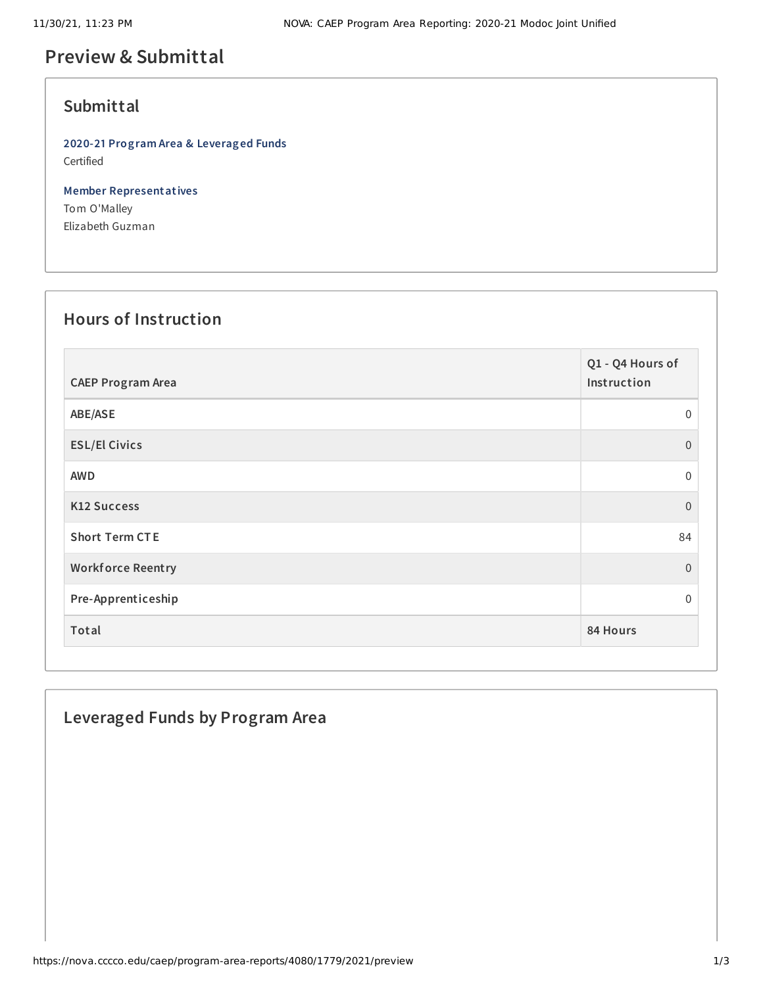# **Preview & Submittal**

## **Submittal**

**2020-21 Program Area & Leveraged Funds** Certified

**Member Representatives** Tom O'Malley Elizabeth Guzman

#### **Hours of Instruction**

| <b>CAEP Program Area</b> | Q1 - Q4 Hours of<br>Instruction |
|--------------------------|---------------------------------|
| ABE/ASE                  | $\mathbf{0}$                    |
| <b>ESL/El Civics</b>     | $\Omega$                        |
| <b>AWD</b>               | $\mathbf 0$                     |
| <b>K12 Success</b>       | $\Omega$                        |
| <b>Short Term CTE</b>    | 84                              |
| <b>Workforce Reentry</b> | $\overline{0}$                  |
| Pre-Apprenticeship       | $\Omega$                        |
| Total                    | 84 Hours                        |

## **Leveraged Funds by Program Area**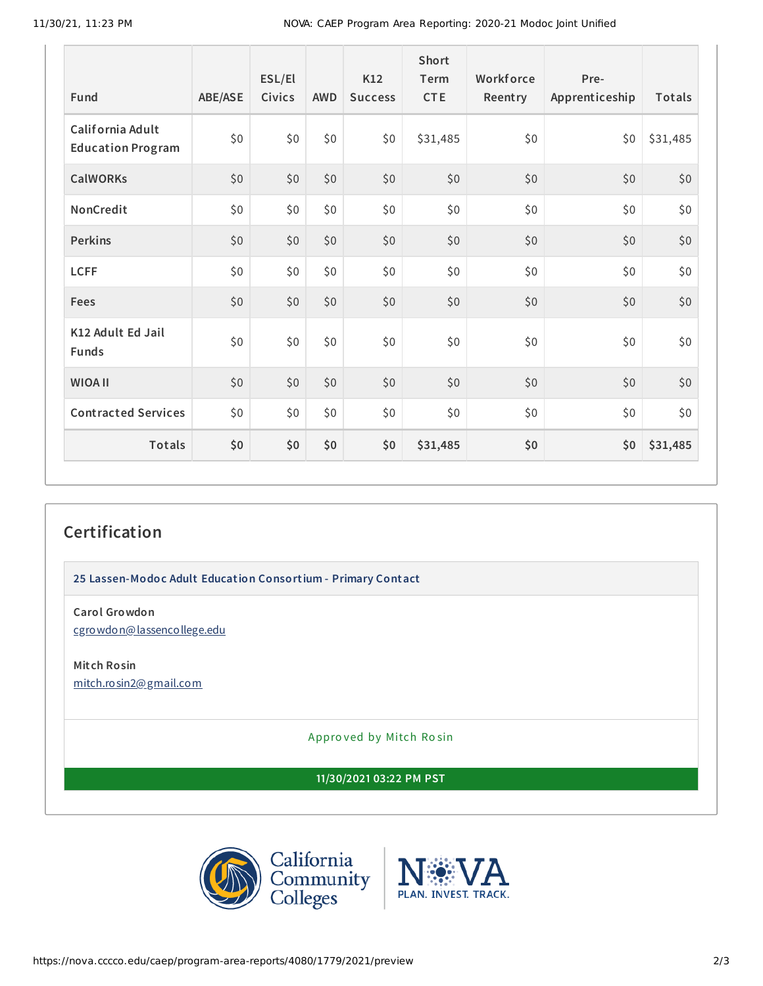| <b>Fund</b>                                  | ABE/ASE | ESL/El<br>Civics | <b>AWD</b> | K12<br><b>Success</b> | Short<br>Term<br><b>CTE</b> | Workforce<br>Reentry | Pre-<br>Apprenticeship | Totals   |
|----------------------------------------------|---------|------------------|------------|-----------------------|-----------------------------|----------------------|------------------------|----------|
| California Adult<br><b>Education Program</b> | \$0     | \$0              | \$0        | \$0                   | \$31,485                    | \$0                  | \$0                    | \$31,485 |
| <b>CalWORKs</b>                              | \$0     | \$0              | \$0        | \$0                   | \$0                         | \$0                  | \$0                    | \$0      |
| NonCredit                                    | \$0     | \$0              | \$0        | \$0                   | \$0                         | \$0                  | \$0                    | \$0      |
| <b>Perkins</b>                               | \$0     | \$0              | \$0        | \$0                   | \$0                         | \$0                  | \$0                    | \$0      |
| <b>LCFF</b>                                  | \$0     | \$0              | \$0        | \$0                   | \$0                         | \$0                  | \$0                    | \$0      |
| Fees                                         | \$0     | \$0              | \$0        | \$0                   | \$0                         | \$0                  | \$0                    | \$0      |
| K12 Adult Ed Jail<br><b>Funds</b>            | \$0     | \$0              | \$0        | \$0                   | \$0                         | \$0\$                | \$0                    | \$0      |
| <b>WIOA II</b>                               | \$0     | \$0              | \$0        | \$0                   | \$0                         | \$0                  | \$0                    | \$0      |
| <b>Contracted Services</b>                   | \$0     | \$0              | \$0        | \$0                   | \$0                         | \$0                  | \$0                    | \$0      |
| <b>Totals</b>                                | \$0     | \$0              | \$0        | \$0                   | \$31,485                    | \$0                  | \$0                    | \$31,485 |

# **Certification**

**25 Lassen-Modoc Adult Education Consortium - Primary Contact**

**Carol Growdon** [cgrowdon@lassencollege.edu](mailto:cgrowdon@lassencollege.edu)

**Mitch Rosin** [mitch.rosin2@gmail.com](mailto:mitch.rosin2@gmail.com)

Appro ved by Mitch Ro sin

**11/30/2021 03:22 PM PST**